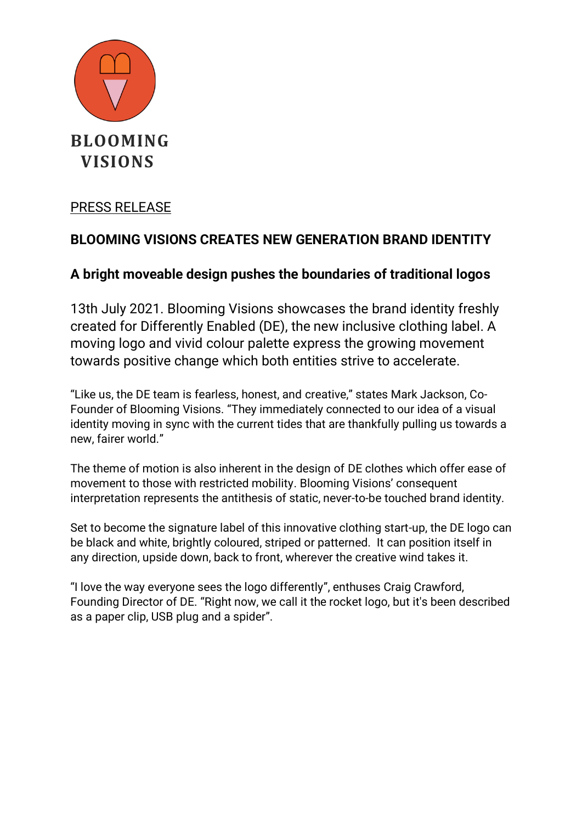

### PRESS RELEASE

# **BLOOMING VISIONS CREATES NEW GENERATION BRAND IDENTITY**

## **A bright moveable design pushes the boundaries of traditional logos**

13th July 2021. Blooming Visions showcases the brand identity freshly created for Differently Enabled (DE), the new inclusive clothing label. A moving logo and vivid colour palette express the growing movement towards positive change which both entities strive to accelerate.

"Like us, the DE team is fearless, honest, and creative," states Mark Jackson, Co-Founder of Blooming Visions. "They immediately connected to our idea of a visual identity moving in sync with the current tides that are thankfully pulling us towards a new, fairer world."

The theme of motion is also inherent in the design of DE clothes which offer ease of movement to those with restricted mobility. Blooming Visions' consequent interpretation represents the antithesis of static, never-to-be touched brand identity.

Set to become the signature label of this innovative clothing start-up, the DE logo can be black and white, brightly coloured, striped or patterned. It can position itself in any direction, upside down, back to front, wherever the creative wind takes it.

"I love the way everyone sees the logo differently", enthuses Craig Crawford, Founding Director of DE. "Right now, we call it the rocket logo, but it's been described as a paper clip, USB plug and a spider".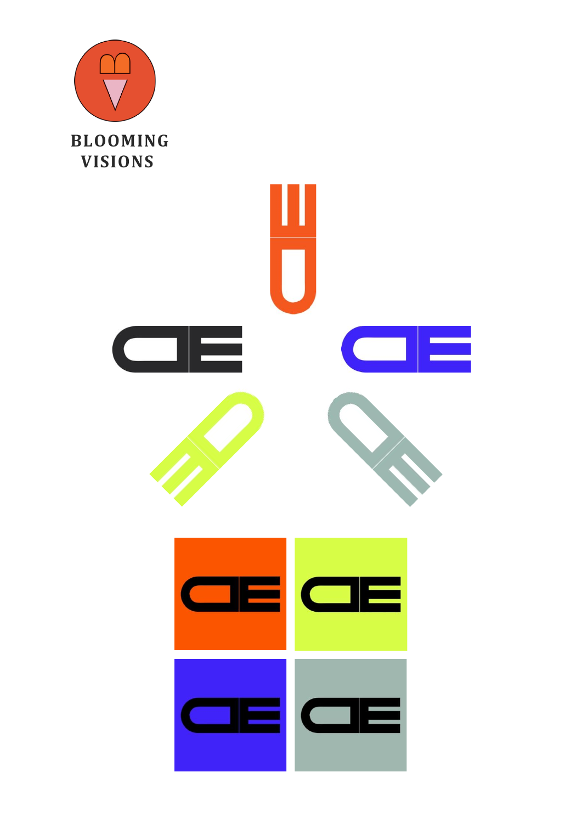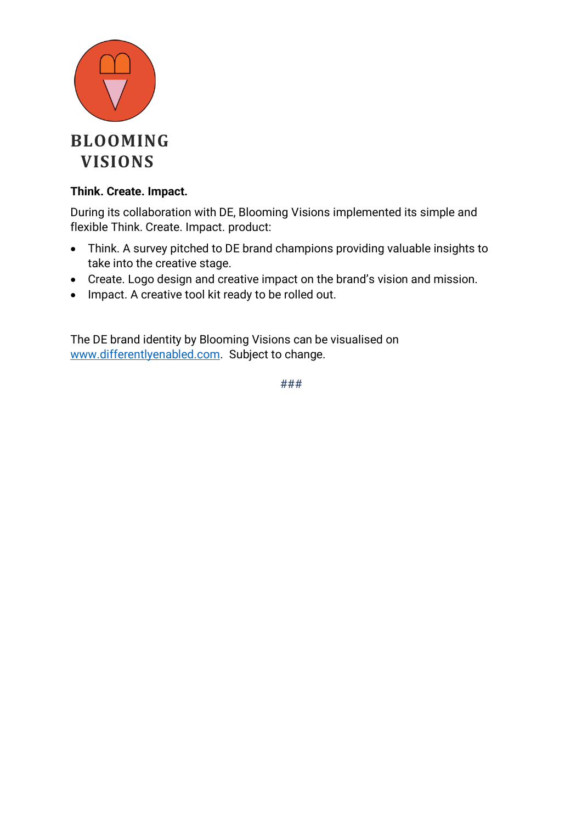

### **Think. Create. Impact.**

During its collaboration with DE, Blooming Visions implemented its simple and flexible Think. Create. Impact. product:

- Think. A survey pitched to DE brand champions providing valuable insights to take into the creative stage.
- Create. Logo design and creative impact on the brand's vision and mission.
- Impact. A creative tool kit ready to be rolled out.

The DE brand identity by Blooming Visions can be visualised on [www.differentlyenabled.com.](http://www.differentlyenabled.com/) Subject to change.

###